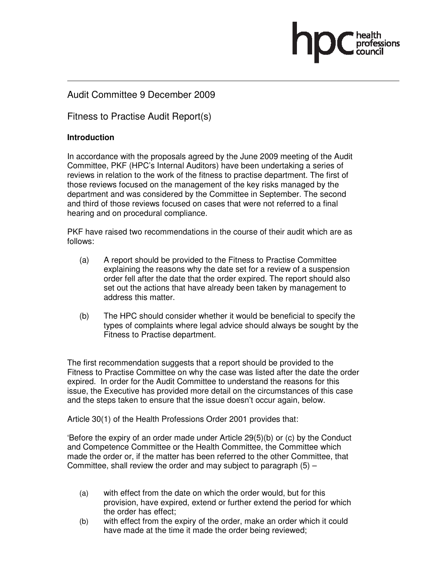#### Audit Committee 9 December 2009

Fitness to Practise Audit Report(s)

#### **Introduction**

In accordance with the proposals agreed by the June 2009 meeting of the Audit Committee, PKF (HPC's Internal Auditors) have been undertaking a series of reviews in relation to the work of the fitness to practise department. The first of those reviews focused on the management of the key risks managed by the department and was considered by the Committee in September. The second and third of those reviews focused on cases that were not referred to a final hearing and on procedural compliance.

PKF have raised two recommendations in the course of their audit which are as follows:

- (a) A report should be provided to the Fitness to Practise Committee explaining the reasons why the date set for a review of a suspension order fell after the date that the order expired. The report should also set out the actions that have already been taken by management to address this matter.
- (b) The HPC should consider whether it would be beneficial to specify the types of complaints where legal advice should always be sought by the Fitness to Practise department.

The first recommendation suggests that a report should be provided to the Fitness to Practise Committee on why the case was listed after the date the order expired. In order for the Audit Committee to understand the reasons for this issue, the Executive has provided more detail on the circumstances of this case and the steps taken to ensure that the issue doesn't occur again, below.

Article 30(1) of the Health Professions Order 2001 provides that:

'Before the expiry of an order made under Article 29(5)(b) or (c) by the Conduct and Competence Committee or the Health Committee, the Committee which made the order or, if the matter has been referred to the other Committee, that Committee, shall review the order and may subject to paragraph  $(5)$  –

- (a) with effect from the date on which the order would, but for this provision, have expired, extend or further extend the period for which the order has effect;
- (b) with effect from the expiry of the order, make an order which it could have made at the time it made the order being reviewed;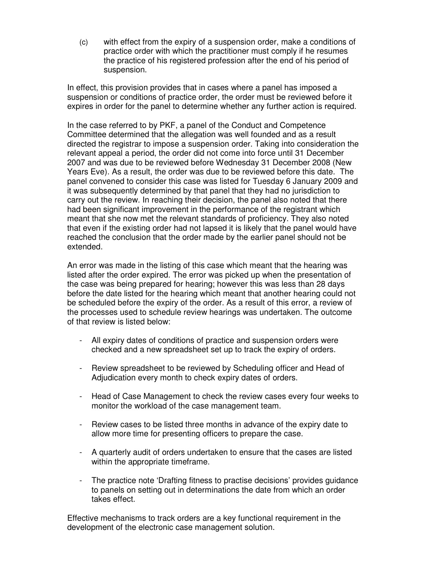(c) with effect from the expiry of a suspension order, make a conditions of practice order with which the practitioner must comply if he resumes the practice of his registered profession after the end of his period of suspension.

In effect, this provision provides that in cases where a panel has imposed a suspension or conditions of practice order, the order must be reviewed before it expires in order for the panel to determine whether any further action is required.

In the case referred to by PKF, a panel of the Conduct and Competence Committee determined that the allegation was well founded and as a result directed the registrar to impose a suspension order. Taking into consideration the relevant appeal a period, the order did not come into force until 31 December 2007 and was due to be reviewed before Wednesday 31 December 2008 (New Years Eve). As a result, the order was due to be reviewed before this date. The panel convened to consider this case was listed for Tuesday 6 January 2009 and it was subsequently determined by that panel that they had no jurisdiction to carry out the review. In reaching their decision, the panel also noted that there had been significant improvement in the performance of the registrant which meant that she now met the relevant standards of proficiency. They also noted that even if the existing order had not lapsed it is likely that the panel would have reached the conclusion that the order made by the earlier panel should not be extended.

An error was made in the listing of this case which meant that the hearing was listed after the order expired. The error was picked up when the presentation of the case was being prepared for hearing; however this was less than 28 days before the date listed for the hearing which meant that another hearing could not be scheduled before the expiry of the order. As a result of this error, a review of the processes used to schedule review hearings was undertaken. The outcome of that review is listed below:

- All expiry dates of conditions of practice and suspension orders were checked and a new spreadsheet set up to track the expiry of orders.
- Review spreadsheet to be reviewed by Scheduling officer and Head of Adjudication every month to check expiry dates of orders.
- Head of Case Management to check the review cases every four weeks to monitor the workload of the case management team.
- Review cases to be listed three months in advance of the expiry date to allow more time for presenting officers to prepare the case.
- A quarterly audit of orders undertaken to ensure that the cases are listed within the appropriate timeframe.
- The practice note 'Drafting fitness to practise decisions' provides guidance to panels on setting out in determinations the date from which an order takes effect.

Effective mechanisms to track orders are a key functional requirement in the development of the electronic case management solution.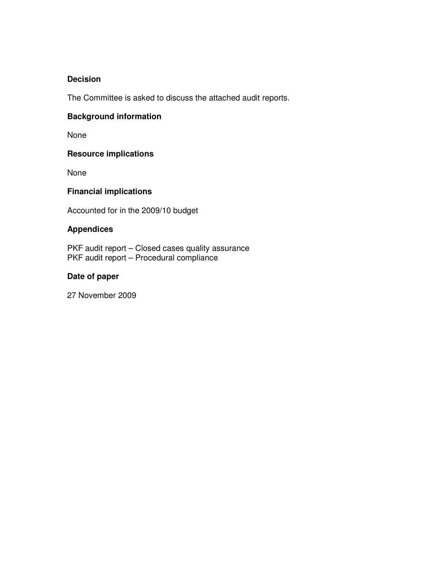#### **Decision**

The Committee is asked to discuss the attached audit reports.

#### **Background information**

None

#### **Resource implications**

None

#### **Financial implications**

Accounted for in the 2009/10 budget

#### **Appendices**

PKF audit report - Closed cases quality assurance PKF audit report – Procedural compliance

#### **Date of paper**

27 November 2009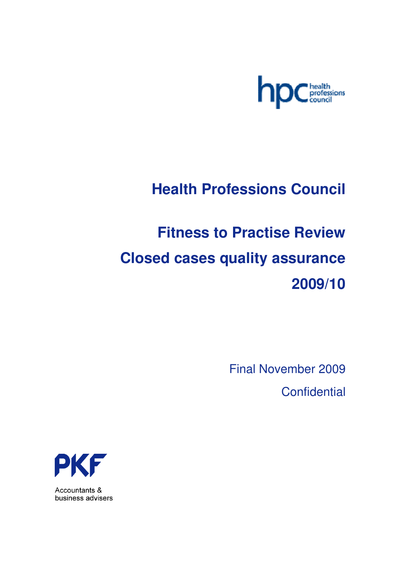

## **Health Professions Council**

# **Fitness to Practise Review Closed cases quality assurance 2009/10**

Final November 2009 **Confidential** 



Accountants & business advisers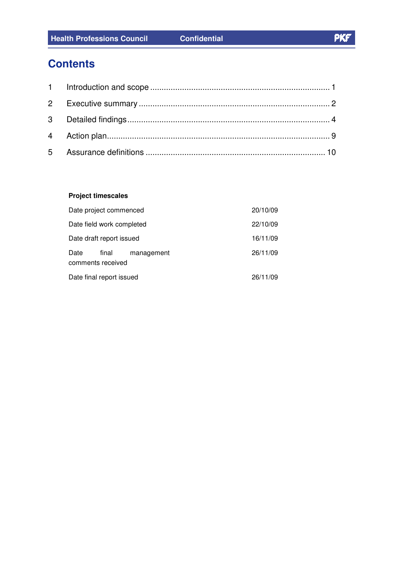## **Contents**

#### **Project timescales**

| Date project commenced                           | 20/10/09 |
|--------------------------------------------------|----------|
| Date field work completed                        | 22/10/09 |
| Date draft report issued                         | 16/11/09 |
| Date<br>final<br>management<br>comments received | 26/11/09 |
| Date final report issued                         | 26/11/09 |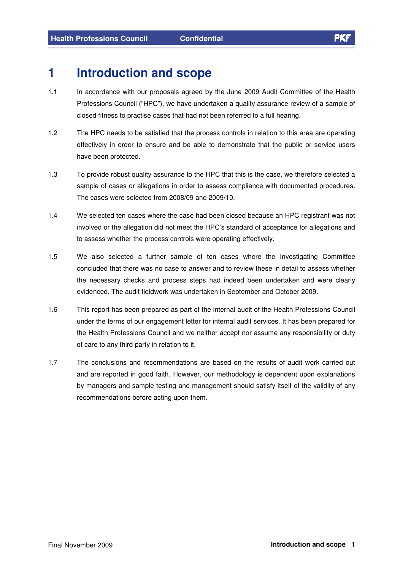## **1 Introduction and scope**

- 1.1 In accordance with our proposals agreed by the June 2009 Audit Committee of the Health Professions Council ("HPC"), we have undertaken a quality assurance review of a sample of closed fitness to practise cases that had not been referred to a full hearing.
- 1.2 The HPC needs to be satisfied that the process controls in relation to this area are operating effectively in order to ensure and be able to demonstrate that the public or service users have been protected.
- 1.3 To provide robust quality assurance to the HPC that this is the case, we therefore selected a sample of cases or allegations in order to assess compliance with documented procedures. The cases were selected from 2008/09 and 2009/10.
- 1.4 We selected ten cases where the case had been closed because an HPC registrant was not involved or the allegation did not meet the HPC's standard of acceptance for allegations and to assess whether the process controls were operating effectively.
- 1.5 We also selected a further sample of ten cases where the Investigating Committee concluded that there was no case to answer and to review these in detail to assess whether the necessary checks and process steps had indeed been undertaken and were clearly evidenced. The audit fieldwork was undertaken in September and October 2009.
- 1.6 This report has been prepared as part of the internal audit of the Health Professions Council under the terms of our engagement letter for internal audit services. It has been prepared for the Health Professions Council and we neither accept nor assume any responsibility or duty of care to any third party in relation to it.
- 1.7 The conclusions and recommendations are based on the results of audit work carried out and are reported in good faith. However, our methodology is dependent upon explanations by managers and sample testing and management should satisfy itself of the validity of any recommendations before acting upon them.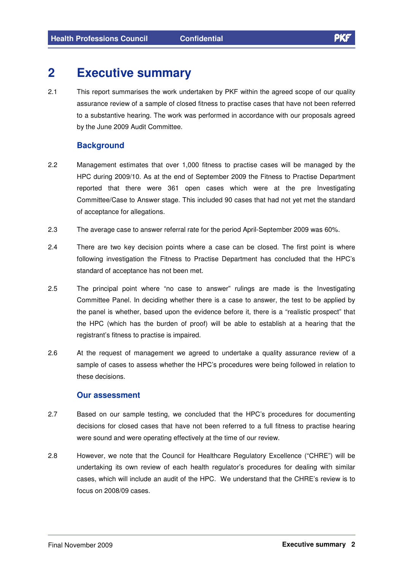## **2 Executive summary**

2.1 This report summarises the work undertaken by PKF within the agreed scope of our quality assurance review of a sample of closed fitness to practise cases that have not been referred to a substantive hearing. The work was performed in accordance with our proposals agreed by the June 2009 Audit Committee.

#### **Background**

- 2.2 Management estimates that over 1,000 fitness to practise cases will be managed by the HPC during 2009/10. As at the end of September 2009 the Fitness to Practise Department reported that there were 361 open cases which were at the pre Investigating Committee/Case to Answer stage. This included 90 cases that had not yet met the standard of acceptance for allegations.
- 2.3 The average case to answer referral rate for the period April-September 2009 was 60%.
- 2.4 There are two key decision points where a case can be closed. The first point is where following investigation the Fitness to Practise Department has concluded that the HPC's standard of acceptance has not been met.
- 2.5 The principal point where "no case to answer" rulings are made is the Investigating Committee Panel. In deciding whether there is a case to answer, the test to be applied by the panel is whether, based upon the evidence before it, there is a "realistic prospect" that the HPC (which has the burden of proof) will be able to establish at a hearing that the registrant's fitness to practise is impaired.
- 2.6 At the request of management we agreed to undertake a quality assurance review of a sample of cases to assess whether the HPC's procedures were being followed in relation to these decisions.

#### **Our assessment**

- 2.7 Based on our sample testing, we concluded that the HPC's procedures for documenting decisions for closed cases that have not been referred to a full fitness to practise hearing were sound and were operating effectively at the time of our review.
- 2.8 However, we note that the Council for Healthcare Regulatory Excellence ("CHRE") will be undertaking its own review of each health regulator's procedures for dealing with similar cases, which will include an audit of the HPC. We understand that the CHRE's review is to focus on 2008/09 cases.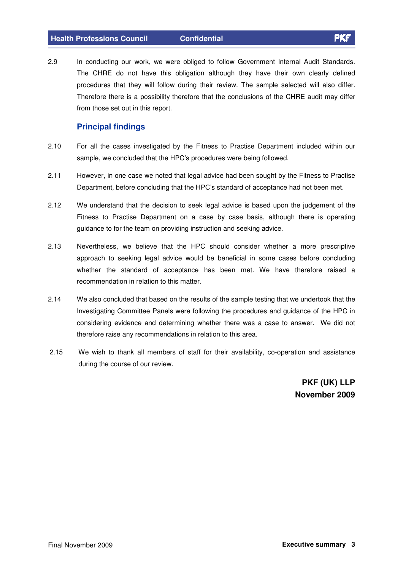2.9 In conducting our work, we were obliged to follow Government Internal Audit Standards. The CHRE do not have this obligation although they have their own clearly defined procedures that they will follow during their review. The sample selected will also differ. Therefore there is a possibility therefore that the conclusions of the CHRE audit may differ from those set out in this report.

#### **Principal findings**

- 2.10 For all the cases investigated by the Fitness to Practise Department included within our sample, we concluded that the HPC's procedures were being followed.
- 2.11 However, in one case we noted that legal advice had been sought by the Fitness to Practise Department, before concluding that the HPC's standard of acceptance had not been met.
- 2.12 We understand that the decision to seek legal advice is based upon the judgement of the Fitness to Practise Department on a case by case basis, although there is operating guidance to for the team on providing instruction and seeking advice.
- 2.13 Nevertheless, we believe that the HPC should consider whether a more prescriptive approach to seeking legal advice would be beneficial in some cases before concluding whether the standard of acceptance has been met. We have therefore raised a recommendation in relation to this matter.
- 2.14 We also concluded that based on the results of the sample testing that we undertook that the Investigating Committee Panels were following the procedures and guidance of the HPC in considering evidence and determining whether there was a case to answer. We did not therefore raise any recommendations in relation to this area.
- 2.15 We wish to thank all members of staff for their availability, co-operation and assistance during the course of our review.

**PKF (UK) LLP November 2009**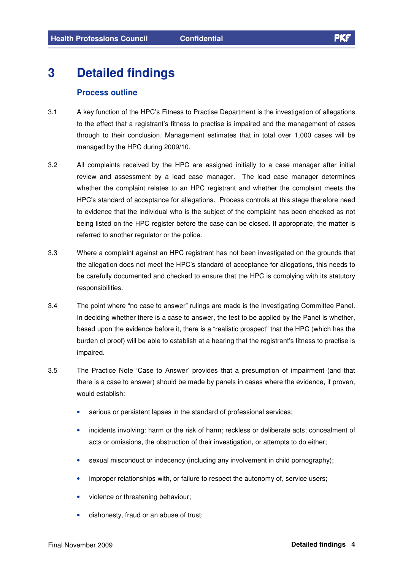## **3 Detailed findings**

#### **Process outline**

- 3.1 A key function of the HPC's Fitness to Practise Department is the investigation of allegations to the effect that a registrant's fitness to practise is impaired and the management of cases through to their conclusion. Management estimates that in total over 1,000 cases will be managed by the HPC during 2009/10.
- 3.2 All complaints received by the HPC are assigned initially to a case manager after initial review and assessment by a lead case manager. The lead case manager determines whether the complaint relates to an HPC registrant and whether the complaint meets the HPC's standard of acceptance for allegations. Process controls at this stage therefore need to evidence that the individual who is the subject of the complaint has been checked as not being listed on the HPC register before the case can be closed. If appropriate, the matter is referred to another regulator or the police.
- 3.3 Where a complaint against an HPC registrant has not been investigated on the grounds that the allegation does not meet the HPC's standard of acceptance for allegations, this needs to be carefully documented and checked to ensure that the HPC is complying with its statutory responsibilities.
- 3.4 The point where "no case to answer" rulings are made is the Investigating Committee Panel. In deciding whether there is a case to answer, the test to be applied by the Panel is whether, based upon the evidence before it, there is a "realistic prospect" that the HPC (which has the burden of proof) will be able to establish at a hearing that the registrant's fitness to practise is impaired.
- 3.5 The Practice Note 'Case to Answer' provides that a presumption of impairment (and that there is a case to answer) should be made by panels in cases where the evidence, if proven, would establish:
	- serious or persistent lapses in the standard of professional services;
	- incidents involving: harm or the risk of harm; reckless or deliberate acts; concealment of acts or omissions, the obstruction of their investigation, or attempts to do either;
	- sexual misconduct or indecency (including any involvement in child pornography);
	- improper relationships with, or failure to respect the autonomy of, service users;
	- violence or threatening behaviour;
	- dishonesty, fraud or an abuse of trust;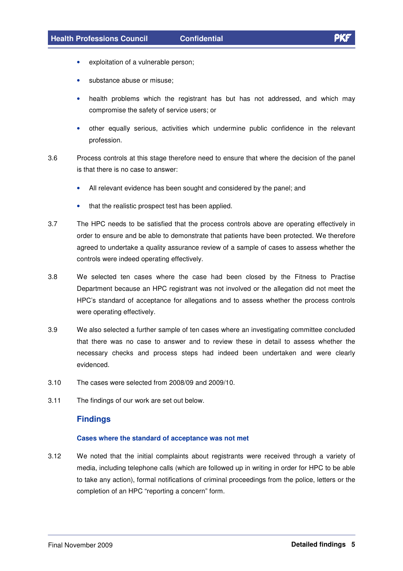- exploitation of a vulnerable person;
- substance abuse or misuse:
- health problems which the registrant has but has not addressed, and which may compromise the safety of service users; or
- other equally serious, activities which undermine public confidence in the relevant profession.
- 3.6 Process controls at this stage therefore need to ensure that where the decision of the panel is that there is no case to answer:
	- All relevant evidence has been sought and considered by the panel; and
	- that the realistic prospect test has been applied.
- 3.7 The HPC needs to be satisfied that the process controls above are operating effectively in order to ensure and be able to demonstrate that patients have been protected. We therefore agreed to undertake a quality assurance review of a sample of cases to assess whether the controls were indeed operating effectively.
- 3.8 We selected ten cases where the case had been closed by the Fitness to Practise Department because an HPC registrant was not involved or the allegation did not meet the HPC's standard of acceptance for allegations and to assess whether the process controls were operating effectively.
- 3.9 We also selected a further sample of ten cases where an investigating committee concluded that there was no case to answer and to review these in detail to assess whether the necessary checks and process steps had indeed been undertaken and were clearly evidenced.
- 3.10 The cases were selected from 2008/09 and 2009/10.
- 3.11 The findings of our work are set out below.

#### **Findings**

#### **Cases where the standard of acceptance was not met**

3.12 We noted that the initial complaints about registrants were received through a variety of media, including telephone calls (which are followed up in writing in order for HPC to be able to take any action), formal notifications of criminal proceedings from the police, letters or the completion of an HPC "reporting a concern" form.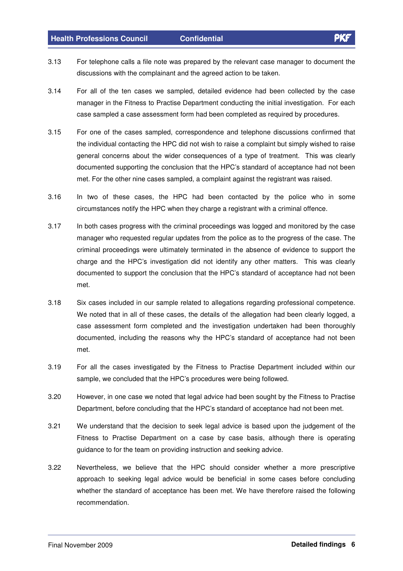#### **Health Professions Council Confidential**

- 3.13 For telephone calls a file note was prepared by the relevant case manager to document the discussions with the complainant and the agreed action to be taken.
- 3.14 For all of the ten cases we sampled, detailed evidence had been collected by the case manager in the Fitness to Practise Department conducting the initial investigation. For each case sampled a case assessment form had been completed as required by procedures.
- 3.15 For one of the cases sampled, correspondence and telephone discussions confirmed that the individual contacting the HPC did not wish to raise a complaint but simply wished to raise general concerns about the wider consequences of a type of treatment. This was clearly documented supporting the conclusion that the HPC's standard of acceptance had not been met. For the other nine cases sampled, a complaint against the registrant was raised.
- 3.16 In two of these cases, the HPC had been contacted by the police who in some circumstances notify the HPC when they charge a registrant with a criminal offence.
- 3.17 In both cases progress with the criminal proceedings was logged and monitored by the case manager who requested regular updates from the police as to the progress of the case. The criminal proceedings were ultimately terminated in the absence of evidence to support the charge and the HPC's investigation did not identify any other matters. This was clearly documented to support the conclusion that the HPC's standard of acceptance had not been met.
- 3.18 Six cases included in our sample related to allegations regarding professional competence. We noted that in all of these cases, the details of the allegation had been clearly logged, a case assessment form completed and the investigation undertaken had been thoroughly documented, including the reasons why the HPC's standard of acceptance had not been met.
- 3.19 For all the cases investigated by the Fitness to Practise Department included within our sample, we concluded that the HPC's procedures were being followed.
- 3.20 However, in one case we noted that legal advice had been sought by the Fitness to Practise Department, before concluding that the HPC's standard of acceptance had not been met.
- 3.21 We understand that the decision to seek legal advice is based upon the judgement of the Fitness to Practise Department on a case by case basis, although there is operating guidance to for the team on providing instruction and seeking advice.
- 3.22 Nevertheless, we believe that the HPC should consider whether a more prescriptive approach to seeking legal advice would be beneficial in some cases before concluding whether the standard of acceptance has been met. We have therefore raised the following recommendation.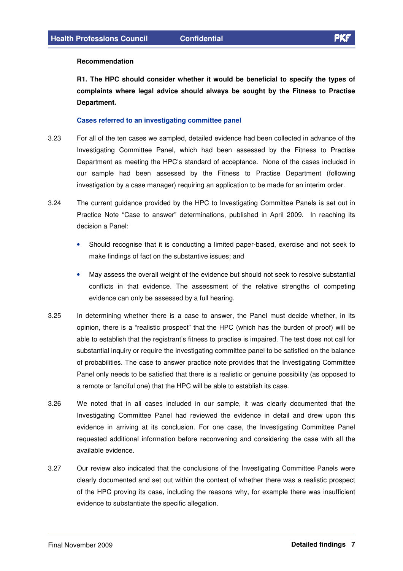#### **Recommendation**

**R1. The HPC should consider whether it would be beneficial to specify the types of complaints where legal advice should always be sought by the Fitness to Practise Department.**

#### **Cases referred to an investigating committee panel**

- 3.23 For all of the ten cases we sampled, detailed evidence had been collected in advance of the Investigating Committee Panel, which had been assessed by the Fitness to Practise Department as meeting the HPC's standard of acceptance. None of the cases included in our sample had been assessed by the Fitness to Practise Department (following investigation by a case manager) requiring an application to be made for an interim order.
- 3.24 The current guidance provided by the HPC to Investigating Committee Panels is set out in Practice Note "Case to answer" determinations, published in April 2009. In reaching its decision a Panel:
	- Should recognise that it is conducting a limited paper-based, exercise and not seek to make findings of fact on the substantive issues; and
	- May assess the overall weight of the evidence but should not seek to resolve substantial conflicts in that evidence. The assessment of the relative strengths of competing evidence can only be assessed by a full hearing.
- 3.25 In determining whether there is a case to answer, the Panel must decide whether, in its opinion, there is a "realistic prospect" that the HPC (which has the burden of proof) will be able to establish that the registrant's fitness to practise is impaired. The test does not call for substantial inquiry or require the investigating committee panel to be satisfied on the balance of probabilities. The case to answer practice note provides that the Investigating Committee Panel only needs to be satisfied that there is a realistic or genuine possibility (as opposed to a remote or fanciful one) that the HPC will be able to establish its case.
- 3.26 We noted that in all cases included in our sample, it was clearly documented that the Investigating Committee Panel had reviewed the evidence in detail and drew upon this evidence in arriving at its conclusion. For one case, the Investigating Committee Panel requested additional information before reconvening and considering the case with all the available evidence.
- 3.27 Our review also indicated that the conclusions of the Investigating Committee Panels were clearly documented and set out within the context of whether there was a realistic prospect of the HPC proving its case, including the reasons why, for example there was insufficient evidence to substantiate the specific allegation.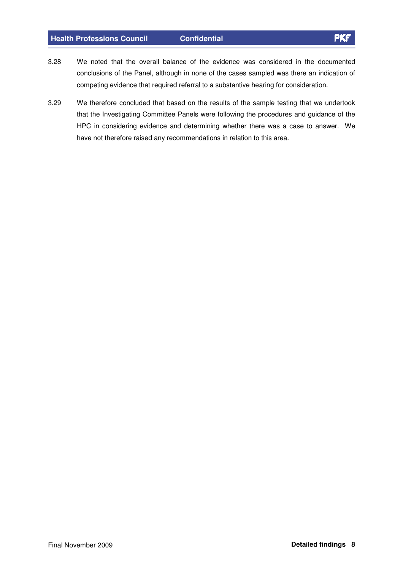#### **Health Professions Council Confidential**

- 3.28 We noted that the overall balance of the evidence was considered in the documented conclusions of the Panel, although in none of the cases sampled was there an indication of competing evidence that required referral to a substantive hearing for consideration.
- 3.29 We therefore concluded that based on the results of the sample testing that we undertook that the Investigating Committee Panels were following the procedures and guidance of the HPC in considering evidence and determining whether there was a case to answer. We have not therefore raised any recommendations in relation to this area.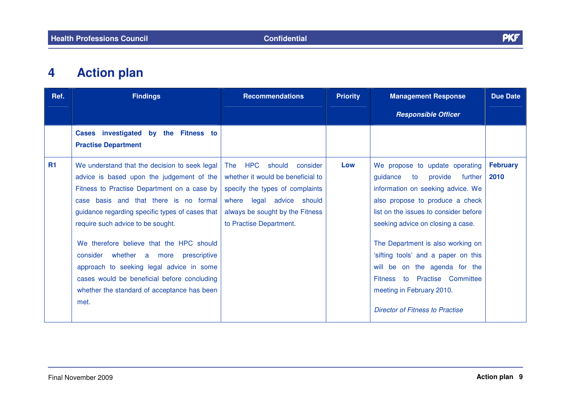

#### **4Action plan**

| Ref. | <b>Findings</b>                                                                                                                                                                                                                                                                                                                                                                                                                                                                                                   | <b>Recommendations</b>                                                                                                                                                                                         | <b>Priority</b> | <b>Management Response</b>                                                                                                                                                                                                                                                                                                                                                                                                                        | <b>Due Date</b>         |
|------|-------------------------------------------------------------------------------------------------------------------------------------------------------------------------------------------------------------------------------------------------------------------------------------------------------------------------------------------------------------------------------------------------------------------------------------------------------------------------------------------------------------------|----------------------------------------------------------------------------------------------------------------------------------------------------------------------------------------------------------------|-----------------|---------------------------------------------------------------------------------------------------------------------------------------------------------------------------------------------------------------------------------------------------------------------------------------------------------------------------------------------------------------------------------------------------------------------------------------------------|-------------------------|
|      |                                                                                                                                                                                                                                                                                                                                                                                                                                                                                                                   |                                                                                                                                                                                                                |                 | <b>Responsible Officer</b>                                                                                                                                                                                                                                                                                                                                                                                                                        |                         |
|      | Cases investigated by the Fitness to<br><b>Practise Department</b>                                                                                                                                                                                                                                                                                                                                                                                                                                                |                                                                                                                                                                                                                |                 |                                                                                                                                                                                                                                                                                                                                                                                                                                                   |                         |
| R1   | We understand that the decision to seek legal<br>advice is based upon the judgement of the<br>Fitness to Practise Department on a case by<br>case basis and that there is no formal<br>guidance regarding specific types of cases that<br>require such advice to be sought.<br>We therefore believe that the HPC should<br>consider whether a more prescriptive<br>approach to seeking legal advice in some<br>cases would be beneficial before concluding<br>whether the standard of acceptance has been<br>met. | <b>HPC</b><br>should consider<br><b>The</b><br>whether it would be beneficial to<br>specify the types of complaints<br>where legal advice should<br>always be sought by the Fitness<br>to Practise Department. | Low             | We propose to update operating<br>guidance<br>to<br>provide<br>further<br>information on seeking advice. We<br>also propose to produce a check<br>list on the issues to consider before<br>seeking advice on closing a case.<br>The Department is also working on<br>'sifting tools' and a paper on this<br>will be on the agenda for the<br>Fitness to Practise Committee<br>meeting in February 2010.<br><b>Director of Fitness to Practise</b> | <b>February</b><br>2010 |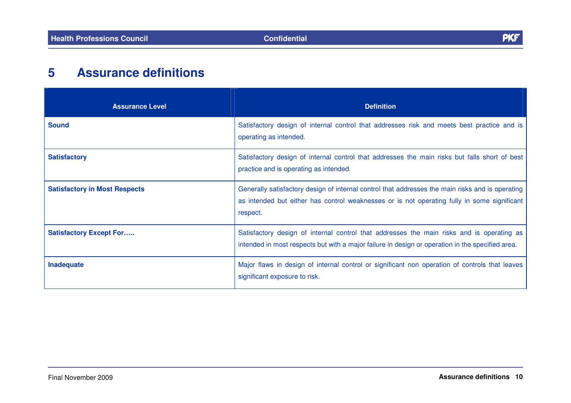

#### **5Assurance definitions**

| <b>Assurance Level</b>               | <b>Definition</b>                                                                                                                                                                                           |
|--------------------------------------|-------------------------------------------------------------------------------------------------------------------------------------------------------------------------------------------------------------|
| <b>Sound</b>                         | Satisfactory design of internal control that addresses risk and meets best practice and is<br>operating as intended.                                                                                        |
| <b>Satisfactory</b>                  | Satisfactory design of internal control that addresses the main risks but falls short of best<br>practice and is operating as intended.                                                                     |
| <b>Satisfactory in Most Respects</b> | Generally satisfactory design of internal control that addresses the main risks and is operating<br>as intended but either has control weaknesses or is not operating fully in some significant<br>respect. |
| <b>Satisfactory Except For</b>       | Satisfactory design of internal control that addresses the main risks and is operating as<br>intended in most respects but with a major failure in design or operation in the specified area.               |
| Inadequate                           | Major flaws in design of internal control or significant non operation of controls that leaves<br>significant exposure to risk.                                                                             |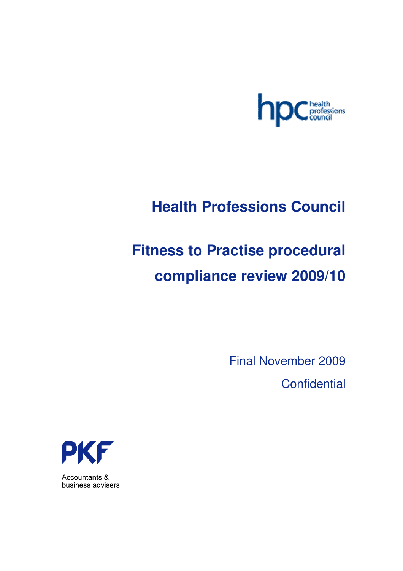

## **Health Professions Council**

# **Fitness to Practise procedural compliance review 2009/10**

Final November 2009 **Confidential** 



Accountants & business advisers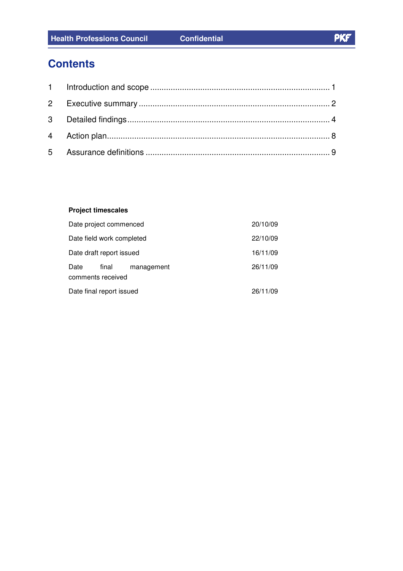## **Contents**

#### **Project timescales**

| Date project commenced    |       | 20/10/09   |          |          |
|---------------------------|-------|------------|----------|----------|
| Date field work completed |       |            | 22/10/09 |          |
| Date draft report issued  |       |            |          | 16/11/09 |
| Date<br>comments received | final | management |          | 26/11/09 |
| Date final report issued  |       | 26/11/09   |          |          |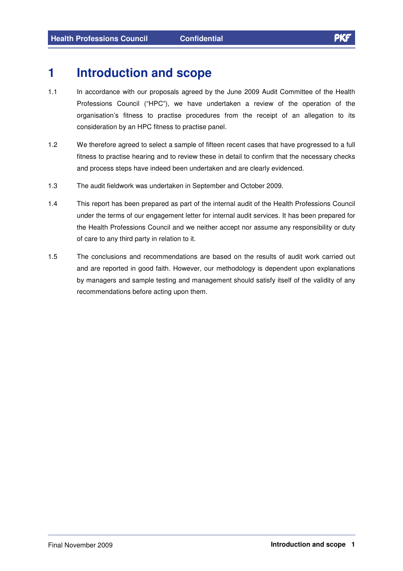### **1 Introduction and scope**

- 1.1 In accordance with our proposals agreed by the June 2009 Audit Committee of the Health Professions Council ("HPC"), we have undertaken a review of the operation of the organisation's fitness to practise procedures from the receipt of an allegation to its consideration by an HPC fitness to practise panel.
- 1.2 We therefore agreed to select a sample of fifteen recent cases that have progressed to a full fitness to practise hearing and to review these in detail to confirm that the necessary checks and process steps have indeed been undertaken and are clearly evidenced.
- 1.3 The audit fieldwork was undertaken in September and October 2009.
- 1.4 This report has been prepared as part of the internal audit of the Health Professions Council under the terms of our engagement letter for internal audit services. It has been prepared for the Health Professions Council and we neither accept nor assume any responsibility or duty of care to any third party in relation to it.
- 1.5 The conclusions and recommendations are based on the results of audit work carried out and are reported in good faith. However, our methodology is dependent upon explanations by managers and sample testing and management should satisfy itself of the validity of any recommendations before acting upon them.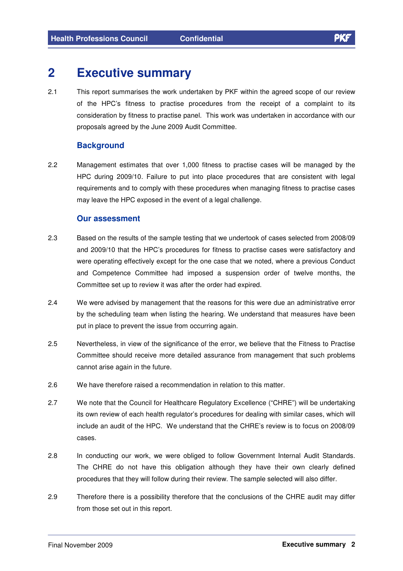## **2 Executive summary**

2.1 This report summarises the work undertaken by PKF within the agreed scope of our review of the HPC's fitness to practise procedures from the receipt of a complaint to its consideration by fitness to practise panel. This work was undertaken in accordance with our proposals agreed by the June 2009 Audit Committee.

#### **Background**

2.2 Management estimates that over 1,000 fitness to practise cases will be managed by the HPC during 2009/10. Failure to put into place procedures that are consistent with legal requirements and to comply with these procedures when managing fitness to practise cases may leave the HPC exposed in the event of a legal challenge.

#### **Our assessment**

- 2.3 Based on the results of the sample testing that we undertook of cases selected from 2008/09 and 2009/10 that the HPC's procedures for fitness to practise cases were satisfactory and were operating effectively except for the one case that we noted, where a previous Conduct and Competence Committee had imposed a suspension order of twelve months, the Committee set up to review it was after the order had expired.
- 2.4 We were advised by management that the reasons for this were due an administrative error by the scheduling team when listing the hearing. We understand that measures have been put in place to prevent the issue from occurring again.
- 2.5 Nevertheless, in view of the significance of the error, we believe that the Fitness to Practise Committee should receive more detailed assurance from management that such problems cannot arise again in the future.
- 2.6 We have therefore raised a recommendation in relation to this matter.
- 2.7 We note that the Council for Healthcare Regulatory Excellence ("CHRE") will be undertaking its own review of each health regulator's procedures for dealing with similar cases, which will include an audit of the HPC. We understand that the CHRE's review is to focus on 2008/09 cases.
- 2.8 In conducting our work, we were obliged to follow Government Internal Audit Standards. The CHRE do not have this obligation although they have their own clearly defined procedures that they will follow during their review. The sample selected will also differ.
- 2.9 Therefore there is a possibility therefore that the conclusions of the CHRE audit may differ from those set out in this report.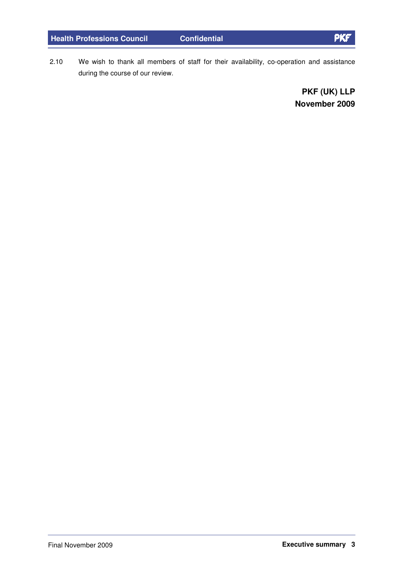**Health Professions Council Confidential**

2.10 We wish to thank all members of staff for their availability, co-operation and assistance during the course of our review.

> **PKF (UK) LLP November 2009**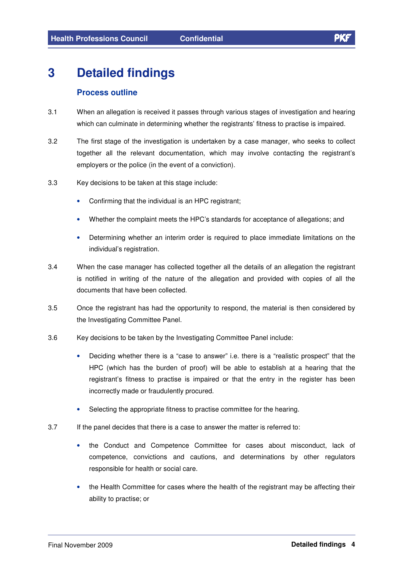## **3 Detailed findings**

#### **Process outline**

- 3.1 When an allegation is received it passes through various stages of investigation and hearing which can culminate in determining whether the registrants' fitness to practise is impaired.
- 3.2 The first stage of the investigation is undertaken by a case manager, who seeks to collect together all the relevant documentation, which may involve contacting the registrant's employers or the police (in the event of a conviction).
- 3.3 Key decisions to be taken at this stage include:
	- Confirming that the individual is an HPC registrant;
	- Whether the complaint meets the HPC's standards for acceptance of allegations; and
	- Determining whether an interim order is required to place immediate limitations on the individual's registration.
- 3.4 When the case manager has collected together all the details of an allegation the registrant is notified in writing of the nature of the allegation and provided with copies of all the documents that have been collected.
- 3.5 Once the registrant has had the opportunity to respond, the material is then considered by the Investigating Committee Panel.
- 3.6 Key decisions to be taken by the Investigating Committee Panel include:
	- Deciding whether there is a "case to answer" i.e. there is a "realistic prospect" that the HPC (which has the burden of proof) will be able to establish at a hearing that the registrant's fitness to practise is impaired or that the entry in the register has been incorrectly made or fraudulently procured.
	- Selecting the appropriate fitness to practise committee for the hearing.
- 3.7 If the panel decides that there is a case to answer the matter is referred to:
	- the Conduct and Competence Committee for cases about misconduct, lack of competence, convictions and cautions, and determinations by other regulators responsible for health or social care.
	- the Health Committee for cases where the health of the registrant may be affecting their ability to practise; or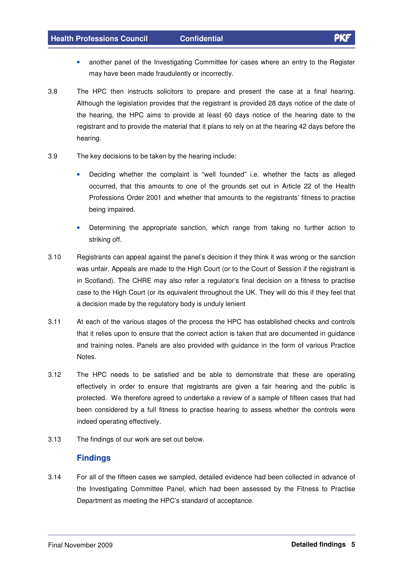- another panel of the Investigating Committee for cases where an entry to the Register may have been made fraudulently or incorrectly.
- 3.8 The HPC then instructs solicitors to prepare and present the case at a final hearing. Although the legislation provides that the registrant is provided 28 days notice of the date of the hearing, the HPC aims to provide at least 60 days notice of the hearing date to the registrant and to provide the material that it plans to rely on at the hearing 42 days before the hearing.
- 3.9 The key decisions to be taken by the hearing include:
	- Deciding whether the complaint is "well founded" i.e. whether the facts as alleged occurred, that this amounts to one of the grounds set out in Article 22 of the Health Professions Order 2001 and whether that amounts to the registrants' fitness to practise being impaired.
	- Determining the appropriate sanction, which range from taking no further action to striking off.
- 3.10 Registrants can appeal against the panel's decision if they think it was wrong or the sanction was unfair. Appeals are made to the High Court (or to the Court of Session if the registrant is in Scotland). The CHRE may also refer a regulator's final decision on a fitness to practise case to the High Court (or its equivalent throughout the UK. They will do this if they feel that a decision made by the regulatory body is unduly lenient
- 3.11 At each of the various stages of the process the HPC has established checks and controls that it relies upon to ensure that the correct action is taken that are documented in guidance and training notes. Panels are also provided with guidance in the form of various Practice Notes.
- 3.12 The HPC needs to be satisfied and be able to demonstrate that these are operating effectively in order to ensure that registrants are given a fair hearing and the public is protected. We therefore agreed to undertake a review of a sample of fifteen cases that had been considered by a full fitness to practise hearing to assess whether the controls were indeed operating effectively.
- 3.13 The findings of our work are set out below.

#### **Findings**

3.14 For all of the fifteen cases we sampled, detailed evidence had been collected in advance of the Investigating Committee Panel, which had been assessed by the Fitness to Practise Department as meeting the HPC's standard of acceptance.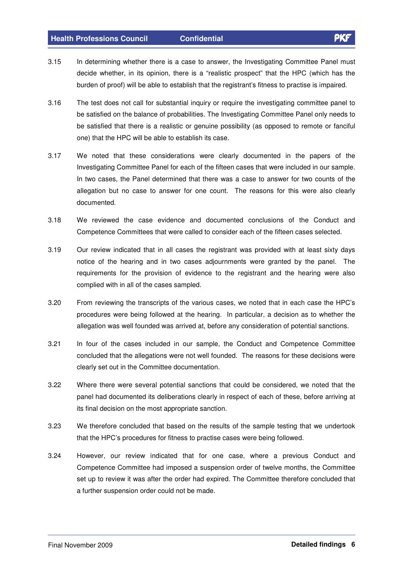#### **Health Professions Council Confidential**

- 3.15 In determining whether there is a case to answer, the Investigating Committee Panel must decide whether, in its opinion, there is a "realistic prospect" that the HPC (which has the burden of proof) will be able to establish that the registrant's fitness to practise is impaired.
- 3.16 The test does not call for substantial inquiry or require the investigating committee panel to be satisfied on the balance of probabilities. The Investigating Committee Panel only needs to be satisfied that there is a realistic or genuine possibility (as opposed to remote or fanciful one) that the HPC will be able to establish its case.
- 3.17 We noted that these considerations were clearly documented in the papers of the Investigating Committee Panel for each of the fifteen cases that were included in our sample. In two cases, the Panel determined that there was a case to answer for two counts of the allegation but no case to answer for one count. The reasons for this were also clearly documented.
- 3.18 We reviewed the case evidence and documented conclusions of the Conduct and Competence Committees that were called to consider each of the fifteen cases selected.
- 3.19 Our review indicated that in all cases the registrant was provided with at least sixty days notice of the hearing and in two cases adjournments were granted by the panel. The requirements for the provision of evidence to the registrant and the hearing were also complied with in all of the cases sampled.
- 3.20 From reviewing the transcripts of the various cases, we noted that in each case the HPC's procedures were being followed at the hearing. In particular, a decision as to whether the allegation was well founded was arrived at, before any consideration of potential sanctions.
- 3.21 In four of the cases included in our sample, the Conduct and Competence Committee concluded that the allegations were not well founded. The reasons for these decisions were clearly set out in the Committee documentation.
- 3.22 Where there were several potential sanctions that could be considered, we noted that the panel had documented its deliberations clearly in respect of each of these, before arriving at its final decision on the most appropriate sanction.
- 3.23 We therefore concluded that based on the results of the sample testing that we undertook that the HPC's procedures for fitness to practise cases were being followed.
- 3.24 However, our review indicated that for one case, where a previous Conduct and Competence Committee had imposed a suspension order of twelve months, the Committee set up to review it was after the order had expired. The Committee therefore concluded that a further suspension order could not be made.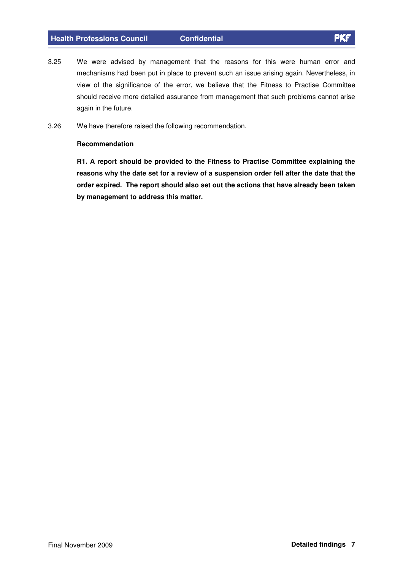- 3.25 We were advised by management that the reasons for this were human error and mechanisms had been put in place to prevent such an issue arising again. Nevertheless, in view of the significance of the error, we believe that the Fitness to Practise Committee should receive more detailed assurance from management that such problems cannot arise again in the future.
- 3.26 We have therefore raised the following recommendation.

#### **Recommendation**

**R1. A report should be provided to the Fitness to Practise Committee explaining the reasons why the date set for a review of a suspension order fell after the date that the order expired. The report should also set out the actions that have already been taken by management to address this matter.**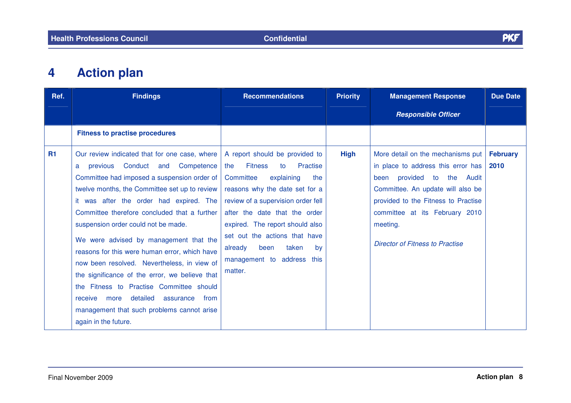

#### **4Action plan**

| Ref.      | <b>Findings</b>                                                                                                                                                                                                                                                                                                                                                                                                                                                                                                                                                                                                                                                                              | <b>Recommendations</b>                                                                                                                                                                                                                                                                                                                                              | <b>Priority</b> | <b>Management Response</b>                                                                                                                                                                                                                                                                               | <b>Due Date</b>         |
|-----------|----------------------------------------------------------------------------------------------------------------------------------------------------------------------------------------------------------------------------------------------------------------------------------------------------------------------------------------------------------------------------------------------------------------------------------------------------------------------------------------------------------------------------------------------------------------------------------------------------------------------------------------------------------------------------------------------|---------------------------------------------------------------------------------------------------------------------------------------------------------------------------------------------------------------------------------------------------------------------------------------------------------------------------------------------------------------------|-----------------|----------------------------------------------------------------------------------------------------------------------------------------------------------------------------------------------------------------------------------------------------------------------------------------------------------|-------------------------|
|           |                                                                                                                                                                                                                                                                                                                                                                                                                                                                                                                                                                                                                                                                                              |                                                                                                                                                                                                                                                                                                                                                                     |                 | <b>Responsible Officer</b>                                                                                                                                                                                                                                                                               |                         |
|           | <b>Fitness to practise procedures</b>                                                                                                                                                                                                                                                                                                                                                                                                                                                                                                                                                                                                                                                        |                                                                                                                                                                                                                                                                                                                                                                     |                 |                                                                                                                                                                                                                                                                                                          |                         |
| <b>R1</b> | Our review indicated that for one case, where<br>previous Conduct and<br>Competence<br>a<br>Committee had imposed a suspension order of<br>twelve months, the Committee set up to review<br>it was after the order had expired. The<br>Committee therefore concluded that a further<br>suspension order could not be made.<br>We were advised by management that the<br>reasons for this were human error, which have<br>now been resolved. Nevertheless, in view of<br>the significance of the error, we believe that<br>the Fitness to Practise Committee should<br>detailed<br>assurance<br>from<br>receive<br>more<br>management that such problems cannot arise<br>again in the future. | A report should be provided to<br><b>Fitness</b><br>Practise<br>the<br>to<br>Committee<br>explaining<br>the<br>reasons why the date set for a<br>review of a supervision order fell<br>after the date that the order<br>expired. The report should also<br>set out the actions that have<br>been<br>taken<br>already<br>by<br>management to address this<br>matter. | <b>High</b>     | More detail on the mechanisms put<br>in place to address this error has<br>provided<br>$\overline{\mathsf{to}}$<br>the Audit<br>been<br>Committee. An update will also be<br>provided to the Fitness to Practise<br>committee at its February 2010<br>meeting.<br><b>Director of Fitness to Practise</b> | <b>February</b><br>2010 |